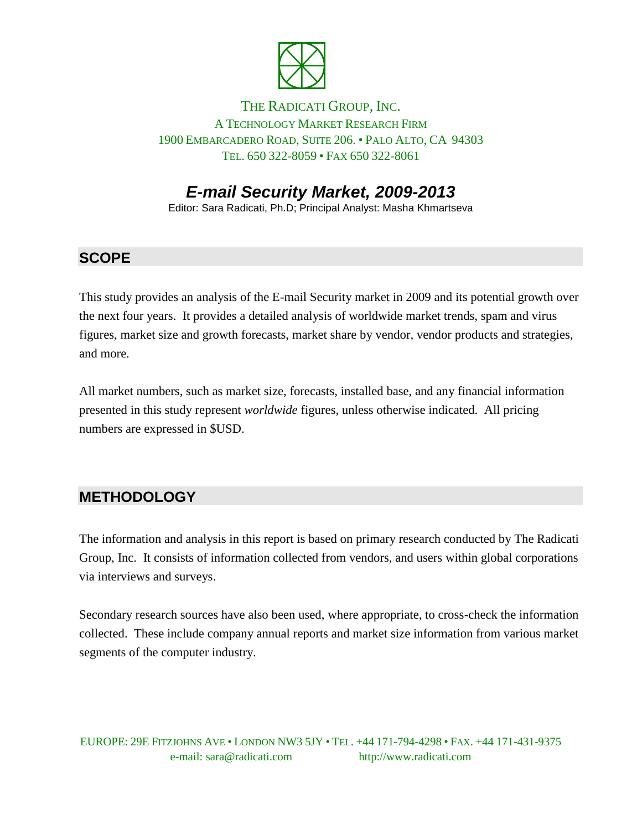

#### THE RADICATI GROUP, INC. A TECHNOLOGY MARKET RESEARCH FIRM 1900 EMBARCADERO ROAD, SUITE 206. • PALO ALTO, CA 94303 TEL. 650 322-8059 • FAX 650 322-8061

# *E-mail Security Market, 2009-2013*

Editor: Sara Radicati, Ph.D; Principal Analyst: Masha Khmartseva

### **SCOPE**

This study provides an analysis of the E-mail Security market in 2009 and its potential growth over the next four years. It provides a detailed analysis of worldwide market trends, spam and virus figures, market size and growth forecasts, market share by vendor, vendor products and strategies, and more.

All market numbers, such as market size, forecasts, installed base, and any financial information presented in this study represent *worldwide* figures, unless otherwise indicated. All pricing numbers are expressed in \$USD.

### **METHODOLOGY**

The information and analysis in this report is based on primary research conducted by The Radicati Group, Inc. It consists of information collected from vendors, and users within global corporations via interviews and surveys.

Secondary research sources have also been used, where appropriate, to cross-check the information collected. These include company annual reports and market size information from various market segments of the computer industry.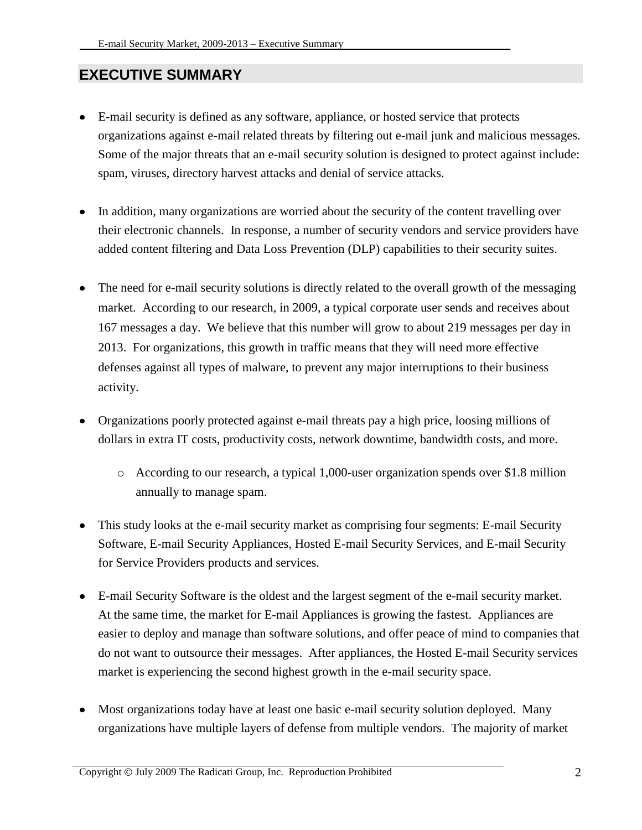#### **EXECUTIVE SUMMARY**

- $\bullet$ E-mail security is defined as any software, appliance, or hosted service that protects organizations against e-mail related threats by filtering out e-mail junk and malicious messages. Some of the major threats that an e-mail security solution is designed to protect against include: spam, viruses, directory harvest attacks and denial of service attacks.
- In addition, many organizations are worried about the security of the content travelling over their electronic channels. In response, a number of security vendors and service providers have added content filtering and Data Loss Prevention (DLP) capabilities to their security suites.
- The need for e-mail security solutions is directly related to the overall growth of the messaging  $\bullet$ market. According to our research, in 2009, a typical corporate user sends and receives about 167 messages a day. We believe that this number will grow to about 219 messages per day in 2013. For organizations, this growth in traffic means that they will need more effective defenses against all types of malware, to prevent any major interruptions to their business activity.
- Organizations poorly protected against e-mail threats pay a high price, loosing millions of dollars in extra IT costs, productivity costs, network downtime, bandwidth costs, and more.
	- o According to our research, a typical 1,000-user organization spends over \$1.8 million annually to manage spam.
- This study looks at the e-mail security market as comprising four segments: E-mail Security Software, E-mail Security Appliances, Hosted E-mail Security Services, and E-mail Security for Service Providers products and services.
- E-mail Security Software is the oldest and the largest segment of the e-mail security market. At the same time, the market for E-mail Appliances is growing the fastest. Appliances are easier to deploy and manage than software solutions, and offer peace of mind to companies that do not want to outsource their messages. After appliances, the Hosted E-mail Security services market is experiencing the second highest growth in the e-mail security space.
- Most organizations today have at least one basic e-mail security solution deployed. Many  $\bullet$ organizations have multiple layers of defense from multiple vendors. The majority of market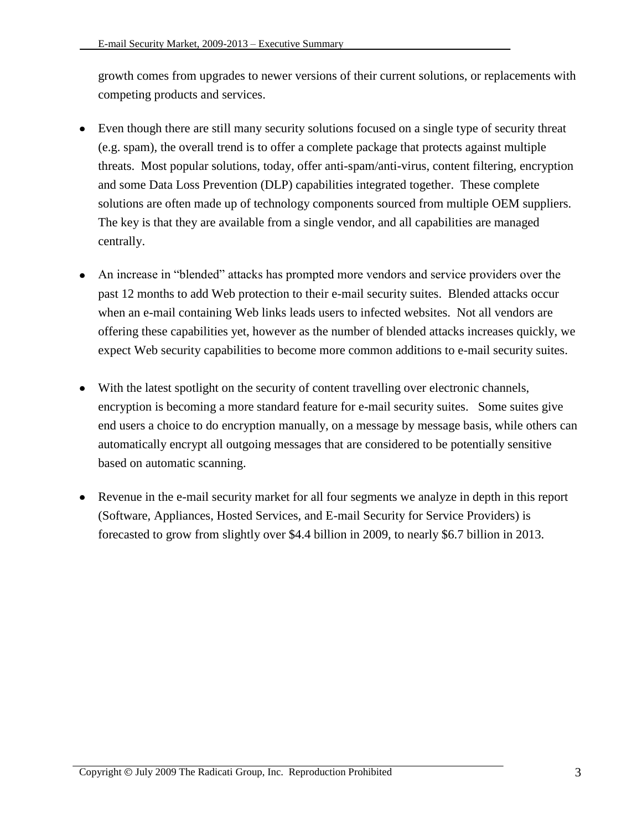growth comes from upgrades to newer versions of their current solutions, or replacements with competing products and services.

- Even though there are still many security solutions focused on a single type of security threat (e.g. spam), the overall trend is to offer a complete package that protects against multiple threats. Most popular solutions, today, offer anti-spam/anti-virus, content filtering, encryption and some Data Loss Prevention (DLP) capabilities integrated together. These complete solutions are often made up of technology components sourced from multiple OEM suppliers. The key is that they are available from a single vendor, and all capabilities are managed centrally.
- An increase in "blended" attacks has prompted more vendors and service providers over the past 12 months to add Web protection to their e-mail security suites. Blended attacks occur when an e-mail containing Web links leads users to infected websites. Not all vendors are offering these capabilities yet, however as the number of blended attacks increases quickly, we expect Web security capabilities to become more common additions to e-mail security suites.
- With the latest spotlight on the security of content travelling over electronic channels, encryption is becoming a more standard feature for e-mail security suites. Some suites give end users a choice to do encryption manually, on a message by message basis, while others can automatically encrypt all outgoing messages that are considered to be potentially sensitive based on automatic scanning.
- Revenue in the e-mail security market for all four segments we analyze in depth in this report (Software, Appliances, Hosted Services, and E-mail Security for Service Providers) is forecasted to grow from slightly over \$4.4 billion in 2009, to nearly \$6.7 billion in 2013.